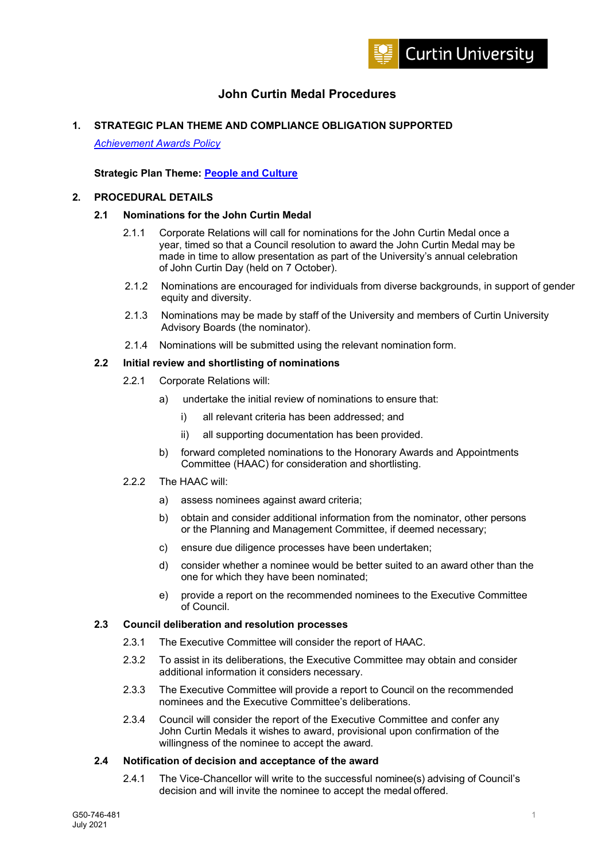

# **John Curtin Medal Procedures**

## **1. STRATEGIC PLAN THEME AND COMPLIANCE OBLIGATION SUPPORTED**

*Achievement Awards Policy* 

## **Strategic Plan Theme: People and Culture**

# **2. PROCEDURAL DETAILS**

#### **2.1 Nominations for the John Curtin Medal**

- 2.1.1 Corporate Relations will call for nominations for the John Curtin Medal once a year, timed so that a Council resolution to award the John Curtin Medal may be made in time to allow presentation as part of the University's annual celebration of John Curtin Day (held on 7 October).
- 2.1.2 Nominations are encouraged for individuals from diverse backgrounds, in support of gender equity and diversity.
- 2.1.3 Nominations may be made by staff of the University and members of Curtin University Advisory Boards (the nominator).
- 2.1.4 Nominations will be submitted using the relevant nomination form.

## **2.2 Initial review and shortlisting of nominations**

- 2.2.1 Corporate Relations will:
	- a) undertake the initial review of nominations to ensure that:
		- i) all relevant criteria has been addressed; and
		- ii) all supporting documentation has been provided.
	- b) forward completed nominations to the Honorary Awards and Appointments Committee (HAAC) for consideration and shortlisting.
- 2.2.2 The HAAC will:
	- a) assess nominees against award criteria;
	- b) obtain and consider additional information from the nominator, other persons or the Planning and Management Committee, if deemed necessary;
	- c) ensure due diligence processes have been undertaken;
	- d) consider whether a nominee would be better suited to an award other than the one for which they have been nominated;
	- e) provide a report on the recommended nominees to the Executive Committee of Council.

## **2.3 Council deliberation and resolution processes**

- 2.3.1 The Executive Committee will consider the report of HAAC.
- 2.3.2 To assist in its deliberations, the Executive Committee may obtain and consider additional information it considers necessary.
- 2.3.3 The Executive Committee will provide a report to Council on the recommended nominees and the Executive Committee's deliberations.
- 2.3.4 Council will consider the report of the Executive Committee and confer any John Curtin Medals it wishes to award, provisional upon confirmation of the willingness of the nominee to accept the award.

# **2.4 Notification of decision and acceptance of the award**

2.4.1 The Vice-Chancellor will write to the successful nominee(s) advising of Council's decision and will invite the nominee to accept the medal offered.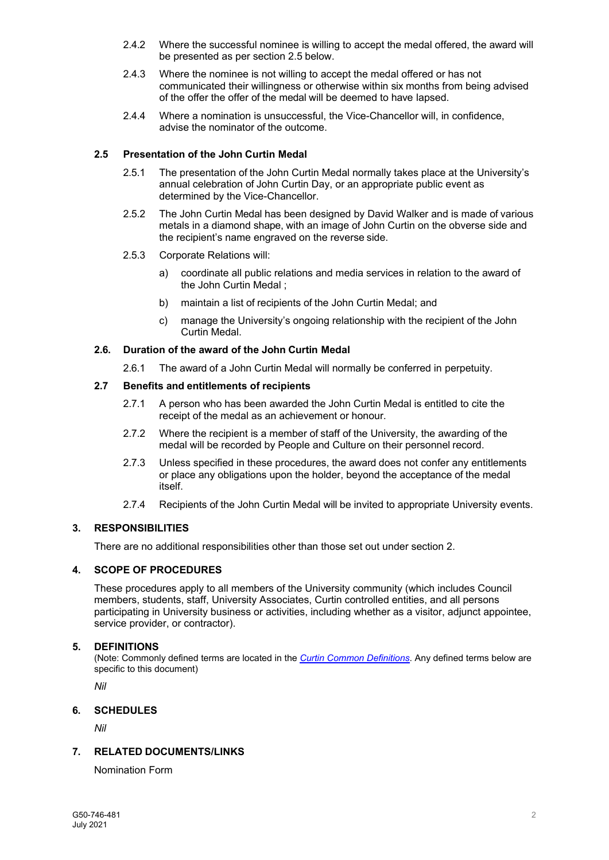- 2.4.2 Where the successful nominee is willing to accept the medal offered, the award will be presented as per section 2.5 below.
- 2.4.3 Where the nominee is not willing to accept the medal offered or has not communicated their willingness or otherwise within six months from being advised of the offer the offer of the medal will be deemed to have lapsed.
- 2.4.4 Where a nomination is unsuccessful, the Vice-Chancellor will, in confidence, advise the nominator of the outcome.

# **2.5 Presentation of the John Curtin Medal**

- 2.5.1 The presentation of the John Curtin Medal normally takes place at the University's annual celebration of John Curtin Day, or an appropriate public event as determined by the Vice-Chancellor.
- 2.5.2 The John Curtin Medal has been designed by David Walker and is made of various metals in a diamond shape, with an image of John Curtin on the obverse side and the recipient's name engraved on the reverse side.
- 2.5.3 Corporate Relations will:
	- a) coordinate all public relations and media services in relation to the award of the John Curtin Medal ;
	- b) maintain a list of recipients of the John Curtin Medal; and
	- c) manage the University's ongoing relationship with the recipient of the John Curtin Medal.

### **2.6. Duration of the award of the John Curtin Medal**

2.6.1 The award of a John Curtin Medal will normally be conferred in perpetuity.

# **2.7 Benefits and entitlements of recipients**

- 2.7.1 A person who has been awarded the John Curtin Medal is entitled to cite the receipt of the medal as an achievement or honour.
- 2.7.2 Where the recipient is a member of staff of the University, the awarding of the medal will be recorded by People and Culture on their personnel record.
- 2.7.3 Unless specified in these procedures, the award does not confer any entitlements or place any obligations upon the holder, beyond the acceptance of the medal itself.
- 2.7.4 Recipients of the John Curtin Medal will be invited to appropriate University events.

# **3. RESPONSIBILITIES**

There are no additional responsibilities other than those set out under section 2.

# **4. SCOPE OF PROCEDURES**

These procedures apply to all members of the University community (which includes Council members, students, staff, University Associates, Curtin controlled entities, and all persons participating in University business or activities, including whether as a visitor, adjunct appointee, service provider, or contractor).

#### **5. DEFINITIONS**

(Note: Commonly defined terms are located in the *Curtin Common Definitions*. Any defined terms below are specific to this document)

*Nil* 

# **6. SCHEDULES**

*Nil* 

# **7. RELATED DOCUMENTS/LINKS**

Nomination Form